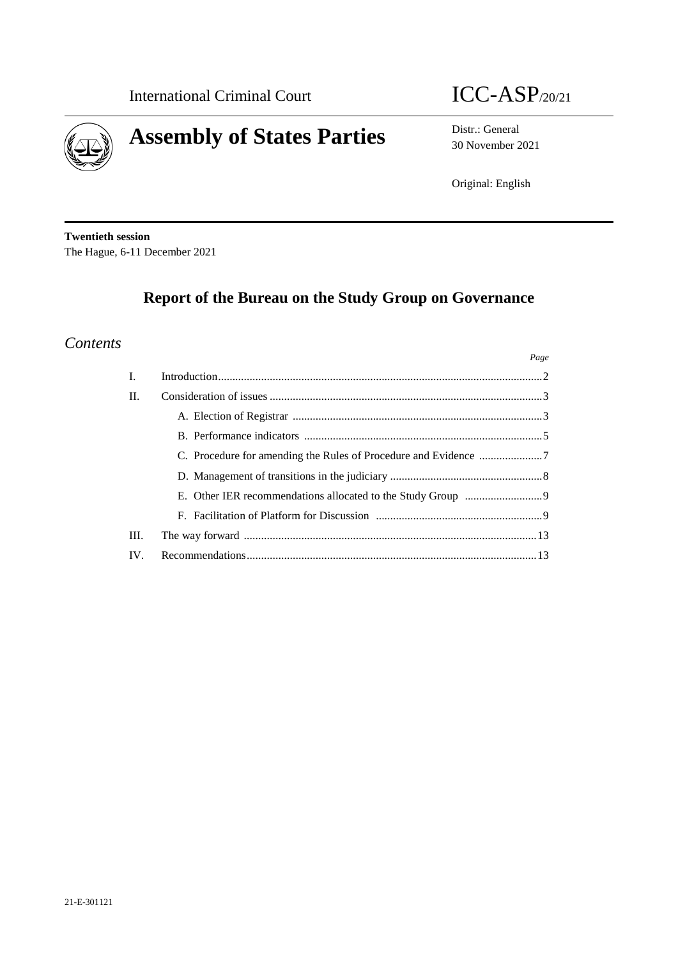



30 November 2021

Original: English

**Twentieth session** The Hague, 6-11 December 2021

# **Report of the Bureau on the Study Group on Governance**

## *Contents*

|                |                                                                 | Page |
|----------------|-----------------------------------------------------------------|------|
| $\mathbf{I}$ . |                                                                 |      |
| $\Pi$ .        |                                                                 |      |
|                |                                                                 |      |
|                |                                                                 |      |
|                | C. Procedure for amending the Rules of Procedure and Evidence 7 |      |
|                |                                                                 |      |
|                |                                                                 |      |
|                |                                                                 |      |
| III.           |                                                                 |      |
| IV.            |                                                                 |      |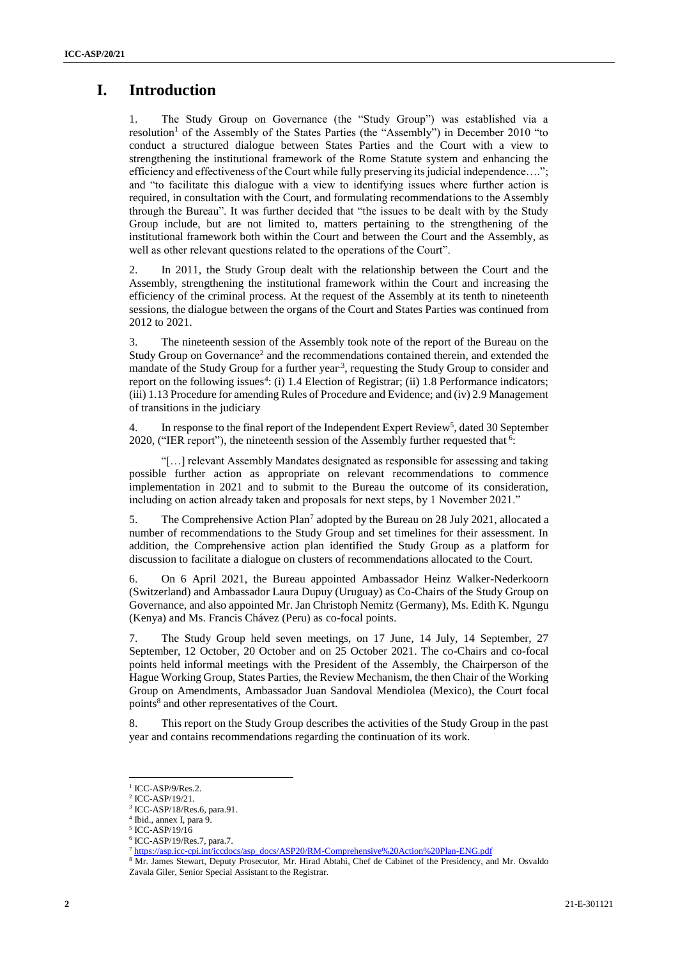## **I. Introduction**

1. The Study Group on Governance (the "Study Group") was established via a resolution<sup>1</sup> of the Assembly of the States Parties (the "Assembly") in December 2010 "to conduct a structured dialogue between States Parties and the Court with a view to strengthening the institutional framework of the Rome Statute system and enhancing the efficiency and effectiveness of the Court while fully preserving its judicial independence…."; and "to facilitate this dialogue with a view to identifying issues where further action is required, in consultation with the Court, and formulating recommendations to the Assembly through the Bureau". It was further decided that "the issues to be dealt with by the Study Group include, but are not limited to, matters pertaining to the strengthening of the institutional framework both within the Court and between the Court and the Assembly, as well as other relevant questions related to the operations of the Court".

2. In 2011, the Study Group dealt with the relationship between the Court and the Assembly, strengthening the institutional framework within the Court and increasing the efficiency of the criminal process. At the request of the Assembly at its tenth to nineteenth sessions, the dialogue between the organs of the Court and States Parties was continued from 2012 to 2021.

3. The nineteenth session of the Assembly took note of the report of the Bureau on the Study Group on Governance<sup>2</sup> and the recommendations contained therein, and extended the mandate of the Study Group for a further year<sup>3</sup>, requesting the Study Group to consider and report on the following issues<sup>4</sup>: (i) 1.4 Election of Registrar; (ii) 1.8 Performance indicators; (iii) 1.13 Procedure for amending Rules of Procedure and Evidence; and (iv) 2.9 Management of transitions in the judiciary

4. In response to the final report of the Independent Expert Review<sup>5</sup>, dated 30 September 2020, ("IER report"), the nineteenth session of the Assembly further requested that  $6$ :

"[…] relevant Assembly Mandates designated as responsible for assessing and taking possible further action as appropriate on relevant recommendations to commence implementation in 2021 and to submit to the Bureau the outcome of its consideration, including on action already taken and proposals for next steps, by 1 November 2021."

5. The Comprehensive Action Plan<sup>7</sup> adopted by the Bureau on 28 July 2021, allocated a number of recommendations to the Study Group and set timelines for their assessment. In addition, the Comprehensive action plan identified the Study Group as a platform for discussion to facilitate a dialogue on clusters of recommendations allocated to the Court.

6. On 6 April 2021, the Bureau appointed Ambassador Heinz Walker-Nederkoorn (Switzerland) and Ambassador Laura Dupuy (Uruguay) as Co-Chairs of the Study Group on Governance, and also appointed Mr. Jan Christoph Nemitz (Germany), Ms. Edith K. Ngungu (Kenya) and Ms. Francis Chávez (Peru) as co-focal points.

7. The Study Group held seven meetings, on 17 June, 14 July, 14 September, 27 September, 12 October, 20 October and on 25 October 2021. The co-Chairs and co-focal points held informal meetings with the President of the Assembly, the Chairperson of the Hague Working Group, States Parties, the Review Mechanism, the then Chair of the Working Group on Amendments, Ambassador Juan Sandoval Mendiolea (Mexico), the Court focal points<sup>8</sup> and other representatives of the Court.

8. This report on the Study Group describes the activities of the Study Group in the past year and contains recommendations regarding the continuation of its work.

<sup>&</sup>lt;sup>1</sup> ICC-ASP/9/Res.2.

<sup>2</sup> ICC-ASP/19/21.

<sup>3</sup> ICC-ASP/18/Res.6, para.91.

<sup>4</sup> Ibid., annex I, para 9.

<sup>5</sup> ICC-ASP/19/16

<sup>6</sup> ICC-ASP/19/Res.7, para.7.

<sup>7</sup> [https://asp.icc-cpi.int/iccdocs/asp\\_docs/ASP20/RM-Comprehensive%20Action%20Plan-ENG.pdf](https://asp.icc-cpi.int/iccdocs/asp_docs/ASP20/RM-Comprehensive%20Action%20Plan-ENG.pdf)

<sup>8</sup> Mr. James Stewart, Deputy Prosecutor, Mr. Hirad Abtahi, Chef de Cabinet of the Presidency, and Mr. Osvaldo Zavala Giler, Senior Special Assistant to the Registrar.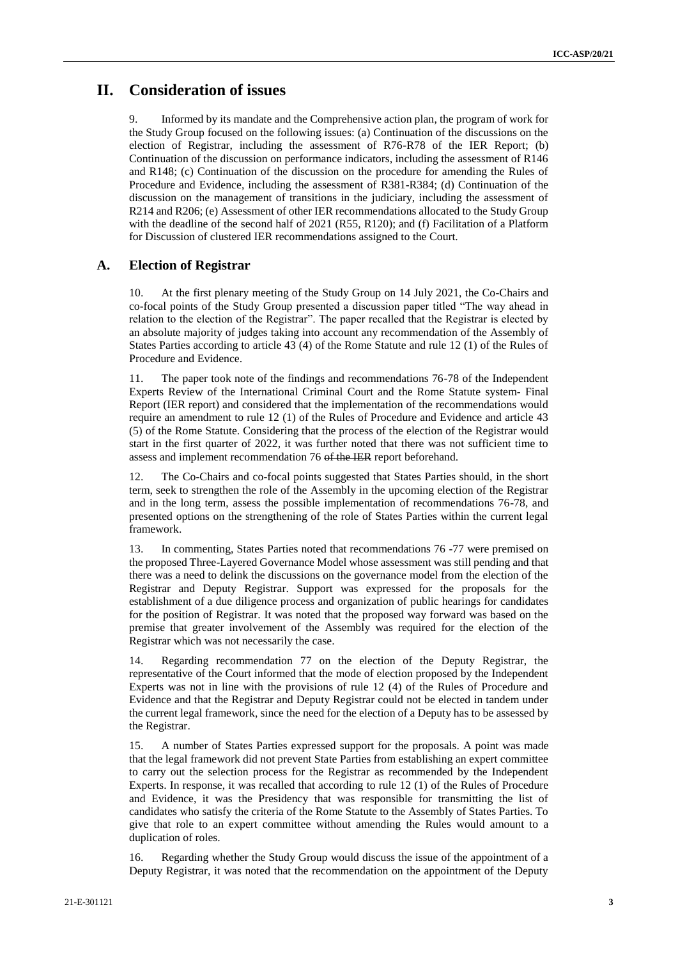## **II. Consideration of issues**

Informed by its mandate and the Comprehensive action plan, the program of work for the Study Group focused on the following issues: (a) Continuation of the discussions on the election of Registrar, including the assessment of R76-R78 of the IER Report; (b) Continuation of the discussion on performance indicators, including the assessment of R146 and R148; (c) Continuation of the discussion on the procedure for amending the Rules of Procedure and Evidence, including the assessment of R381-R384; (d) Continuation of the discussion on the management of transitions in the judiciary, including the assessment of R214 and R206; (e) Assessment of other IER recommendations allocated to the Study Group with the deadline of the second half of 2021 (R55, R120); and (f) Facilitation of a Platform for Discussion of clustered IER recommendations assigned to the Court.

### **A. Election of Registrar**

10. At the first plenary meeting of the Study Group on 14 July 2021, the Co-Chairs and co-focal points of the Study Group presented a discussion paper titled "The way ahead in relation to the election of the Registrar". The paper recalled that the Registrar is elected by an absolute majority of judges taking into account any recommendation of the Assembly of States Parties according to article 43 (4) of the Rome Statute and rule 12 (1) of the Rules of Procedure and Evidence.

11. The paper took note of the findings and recommendations 76-78 of the Independent Experts Review of the International Criminal Court and the Rome Statute system- Final Report (IER report) and considered that the implementation of the recommendations would require an amendment to rule 12 (1) of the Rules of Procedure and Evidence and article 43 (5) of the Rome Statute. Considering that the process of the election of the Registrar would start in the first quarter of 2022, it was further noted that there was not sufficient time to assess and implement recommendation 76 of the IER report beforehand.

12. The Co-Chairs and co-focal points suggested that States Parties should, in the short term, seek to strengthen the role of the Assembly in the upcoming election of the Registrar and in the long term, assess the possible implementation of recommendations 76-78, and presented options on the strengthening of the role of States Parties within the current legal framework.

13. In commenting, States Parties noted that recommendations 76 -77 were premised on the proposed Three-Layered Governance Model whose assessment was still pending and that there was a need to delink the discussions on the governance model from the election of the Registrar and Deputy Registrar. Support was expressed for the proposals for the establishment of a due diligence process and organization of public hearings for candidates for the position of Registrar. It was noted that the proposed way forward was based on the premise that greater involvement of the Assembly was required for the election of the Registrar which was not necessarily the case.

14. Regarding recommendation 77 on the election of the Deputy Registrar, the representative of the Court informed that the mode of election proposed by the Independent Experts was not in line with the provisions of rule 12 (4) of the Rules of Procedure and Evidence and that the Registrar and Deputy Registrar could not be elected in tandem under the current legal framework, since the need for the election of a Deputy has to be assessed by the Registrar.

15. A number of States Parties expressed support for the proposals. A point was made that the legal framework did not prevent State Parties from establishing an expert committee to carry out the selection process for the Registrar as recommended by the Independent Experts. In response, it was recalled that according to rule 12 (1) of the Rules of Procedure and Evidence, it was the Presidency that was responsible for transmitting the list of candidates who satisfy the criteria of the Rome Statute to the Assembly of States Parties. To give that role to an expert committee without amending the Rules would amount to a duplication of roles.

16. Regarding whether the Study Group would discuss the issue of the appointment of a Deputy Registrar, it was noted that the recommendation on the appointment of the Deputy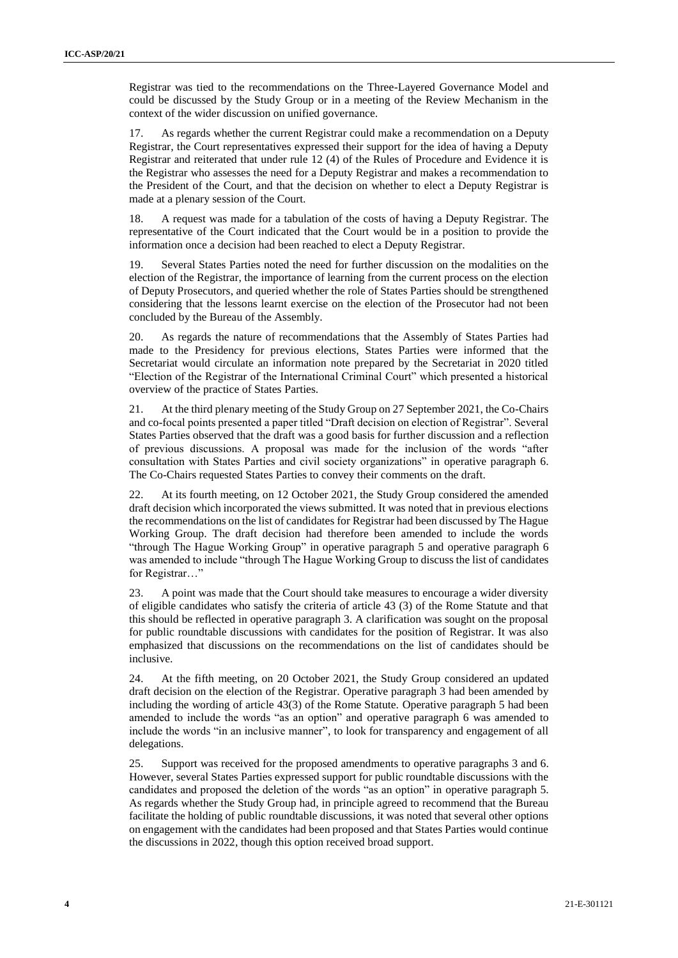Registrar was tied to the recommendations on the Three-Layered Governance Model and could be discussed by the Study Group or in a meeting of the Review Mechanism in the context of the wider discussion on unified governance.

17. As regards whether the current Registrar could make a recommendation on a Deputy Registrar, the Court representatives expressed their support for the idea of having a Deputy Registrar and reiterated that under rule 12 (4) of the Rules of Procedure and Evidence it is the Registrar who assesses the need for a Deputy Registrar and makes a recommendation to the President of the Court, and that the decision on whether to elect a Deputy Registrar is made at a plenary session of the Court.

18. A request was made for a tabulation of the costs of having a Deputy Registrar. The representative of the Court indicated that the Court would be in a position to provide the information once a decision had been reached to elect a Deputy Registrar.

19. Several States Parties noted the need for further discussion on the modalities on the election of the Registrar, the importance of learning from the current process on the election of Deputy Prosecutors, and queried whether the role of States Parties should be strengthened considering that the lessons learnt exercise on the election of the Prosecutor had not been concluded by the Bureau of the Assembly.

20. As regards the nature of recommendations that the Assembly of States Parties had made to the Presidency for previous elections, States Parties were informed that the Secretariat would circulate an information note prepared by the Secretariat in 2020 titled "Election of the Registrar of the International Criminal Court" which presented a historical overview of the practice of States Parties.

21. At the third plenary meeting of the Study Group on 27 September 2021, the Co-Chairs and co-focal points presented a paper titled "Draft decision on election of Registrar". Several States Parties observed that the draft was a good basis for further discussion and a reflection of previous discussions. A proposal was made for the inclusion of the words "after consultation with States Parties and civil society organizations" in operative paragraph 6. The Co-Chairs requested States Parties to convey their comments on the draft.

22. At its fourth meeting, on 12 October 2021, the Study Group considered the amended draft decision which incorporated the views submitted. It was noted that in previous elections the recommendations on the list of candidates for Registrar had been discussed by The Hague Working Group. The draft decision had therefore been amended to include the words "through The Hague Working Group" in operative paragraph 5 and operative paragraph 6 was amended to include "through The Hague Working Group to discuss the list of candidates for Registrar..."

23. A point was made that the Court should take measures to encourage a wider diversity of eligible candidates who satisfy the criteria of article 43 (3) of the Rome Statute and that this should be reflected in operative paragraph 3. A clarification was sought on the proposal for public roundtable discussions with candidates for the position of Registrar. It was also emphasized that discussions on the recommendations on the list of candidates should be inclusive.

24. At the fifth meeting, on 20 October 2021, the Study Group considered an updated draft decision on the election of the Registrar. Operative paragraph 3 had been amended by including the wording of article 43(3) of the Rome Statute. Operative paragraph 5 had been amended to include the words "as an option" and operative paragraph 6 was amended to include the words "in an inclusive manner", to look for transparency and engagement of all delegations.

25. Support was received for the proposed amendments to operative paragraphs 3 and 6. However, several States Parties expressed support for public roundtable discussions with the candidates and proposed the deletion of the words "as an option" in operative paragraph 5. As regards whether the Study Group had, in principle agreed to recommend that the Bureau facilitate the holding of public roundtable discussions, it was noted that several other options on engagement with the candidates had been proposed and that States Parties would continue the discussions in 2022, though this option received broad support.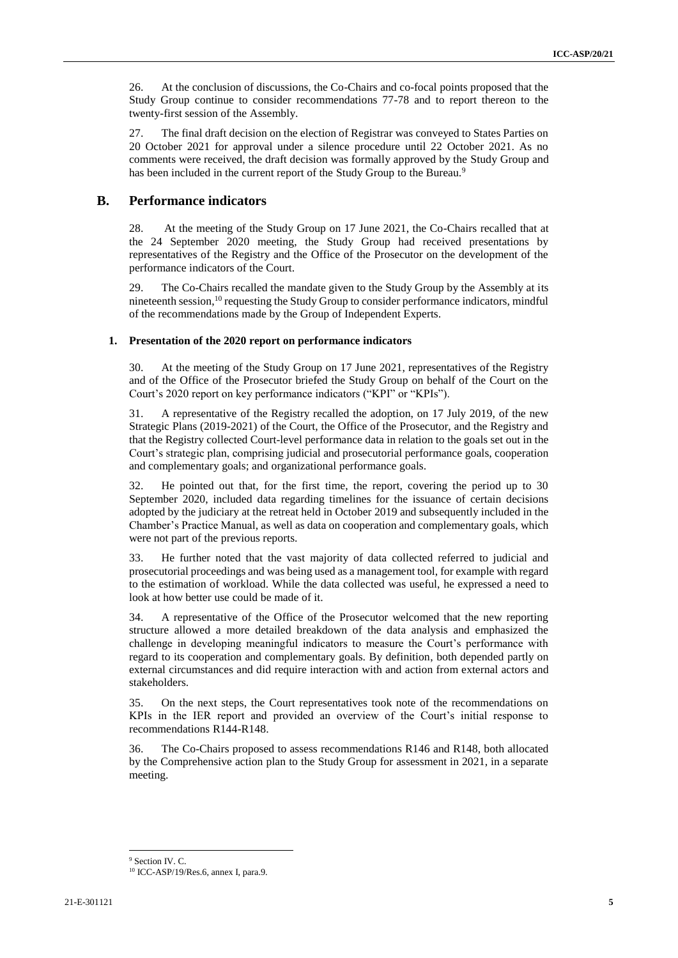26. At the conclusion of discussions, the Co-Chairs and co-focal points proposed that the Study Group continue to consider recommendations 77-78 and to report thereon to the twenty-first session of the Assembly.

27. The final draft decision on the election of Registrar was conveyed to States Parties on 20 October 2021 for approval under a silence procedure until 22 October 2021. As no comments were received, the draft decision was formally approved by the Study Group and has been included in the current report of the Study Group to the Bureau.<sup>9</sup>

## **B. Performance indicators**

28. At the meeting of the Study Group on 17 June 2021, the Co-Chairs recalled that at the 24 September 2020 meeting, the Study Group had received presentations by representatives of the Registry and the Office of the Prosecutor on the development of the performance indicators of the Court.

29. The Co-Chairs recalled the mandate given to the Study Group by the Assembly at its nineteenth session,<sup>10</sup> requesting the Study Group to consider performance indicators, mindful of the recommendations made by the Group of Independent Experts.

#### **1. Presentation of the 2020 report on performance indicators**

30. At the meeting of the Study Group on 17 June 2021, representatives of the Registry and of the Office of the Prosecutor briefed the Study Group on behalf of the Court on the Court's 2020 report on key performance indicators ("KPI" or "KPIs").

31. A representative of the Registry recalled the adoption, on 17 July 2019, of the new Strategic Plans (2019-2021) of the Court, the Office of the Prosecutor, and the Registry and that the Registry collected Court-level performance data in relation to the goals set out in the Court's strategic plan, comprising judicial and prosecutorial performance goals, cooperation and complementary goals; and organizational performance goals.

32. He pointed out that, for the first time, the report, covering the period up to 30 September 2020, included data regarding timelines for the issuance of certain decisions adopted by the judiciary at the retreat held in October 2019 and subsequently included in the Chamber's Practice Manual, as well as data on cooperation and complementary goals, which were not part of the previous reports.

33. He further noted that the vast majority of data collected referred to judicial and prosecutorial proceedings and was being used as a management tool, for example with regard to the estimation of workload. While the data collected was useful, he expressed a need to look at how better use could be made of it.

34. A representative of the Office of the Prosecutor welcomed that the new reporting structure allowed a more detailed breakdown of the data analysis and emphasized the challenge in developing meaningful indicators to measure the Court's performance with regard to its cooperation and complementary goals. By definition, both depended partly on external circumstances and did require interaction with and action from external actors and stakeholders.

35. On the next steps, the Court representatives took note of the recommendations on KPIs in the IER report and provided an overview of the Court's initial response to recommendations R144-R148.

36. The Co-Chairs proposed to assess recommendations R146 and R148, both allocated by the Comprehensive action plan to the Study Group for assessment in 2021, in a separate meeting.

<sup>&</sup>lt;sup>9</sup> Section IV. C.

<sup>10</sup> ICC-ASP/19/Res.6, annex I, para.9.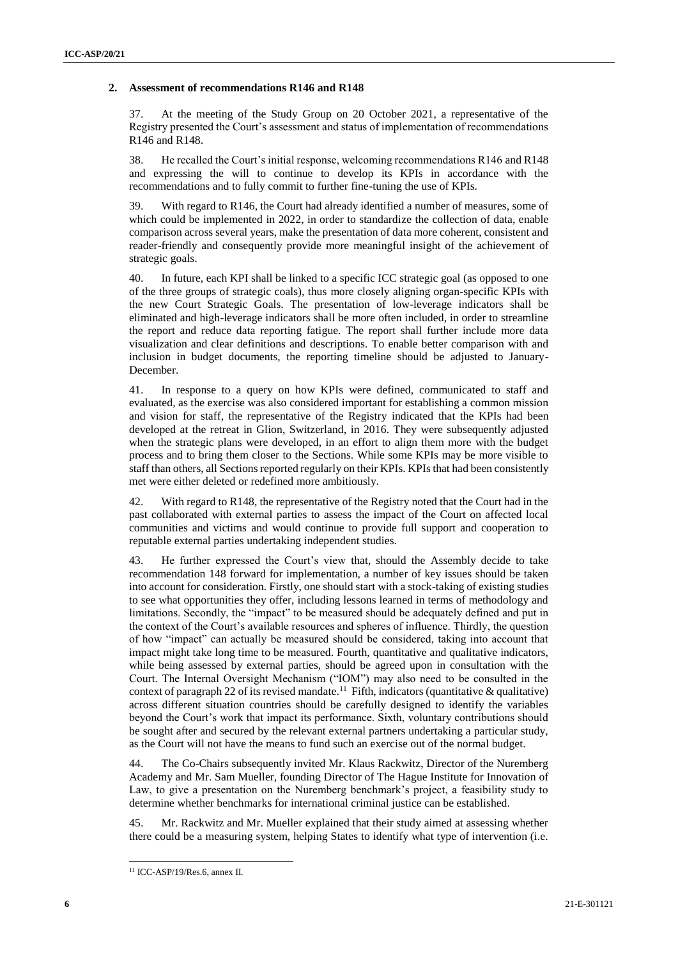#### **2. Assessment of recommendations R146 and R148**

37. At the meeting of the Study Group on 20 October 2021, a representative of the Registry presented the Court's assessment and status of implementation of recommendations R146 and R148.

38. He recalled the Court's initial response, welcoming recommendations R146 and R148 and expressing the will to continue to develop its KPIs in accordance with the recommendations and to fully commit to further fine-tuning the use of KPIs.

39. With regard to R146, the Court had already identified a number of measures, some of which could be implemented in 2022, in order to standardize the collection of data, enable comparison across several years, make the presentation of data more coherent, consistent and reader-friendly and consequently provide more meaningful insight of the achievement of strategic goals.

40. In future, each KPI shall be linked to a specific ICC strategic goal (as opposed to one of the three groups of strategic coals), thus more closely aligning organ-specific KPIs with the new Court Strategic Goals. The presentation of low-leverage indicators shall be eliminated and high-leverage indicators shall be more often included, in order to streamline the report and reduce data reporting fatigue. The report shall further include more data visualization and clear definitions and descriptions. To enable better comparison with and inclusion in budget documents, the reporting timeline should be adjusted to January-December.

41. In response to a query on how KPIs were defined, communicated to staff and evaluated, as the exercise was also considered important for establishing a common mission and vision for staff, the representative of the Registry indicated that the KPIs had been developed at the retreat in Glion, Switzerland, in 2016. They were subsequently adjusted when the strategic plans were developed, in an effort to align them more with the budget process and to bring them closer to the Sections. While some KPIs may be more visible to staff than others, all Sections reported regularly on their KPIs. KPIs that had been consistently met were either deleted or redefined more ambitiously.

42. With regard to R148, the representative of the Registry noted that the Court had in the past collaborated with external parties to assess the impact of the Court on affected local communities and victims and would continue to provide full support and cooperation to reputable external parties undertaking independent studies.

43. He further expressed the Court's view that, should the Assembly decide to take recommendation 148 forward for implementation, a number of key issues should be taken into account for consideration. Firstly, one should start with a stock-taking of existing studies to see what opportunities they offer, including lessons learned in terms of methodology and limitations. Secondly, the "impact" to be measured should be adequately defined and put in the context of the Court's available resources and spheres of influence. Thirdly, the question of how "impact" can actually be measured should be considered, taking into account that impact might take long time to be measured. Fourth, quantitative and qualitative indicators, while being assessed by external parties, should be agreed upon in consultation with the Court. The Internal Oversight Mechanism ("IOM") may also need to be consulted in the context of paragraph 22 of its revised mandate.<sup>11</sup> Fifth, indicators (quantitative & qualitative) across different situation countries should be carefully designed to identify the variables beyond the Court's work that impact its performance. Sixth, voluntary contributions should be sought after and secured by the relevant external partners undertaking a particular study, as the Court will not have the means to fund such an exercise out of the normal budget.

44. The Co-Chairs subsequently invited Mr. Klaus Rackwitz, Director of the Nuremberg Academy and Mr. Sam Mueller, founding Director of The Hague Institute for Innovation of Law, to give a presentation on the Nuremberg benchmark's project, a feasibility study to determine whether benchmarks for international criminal justice can be established.

45. Mr. Rackwitz and Mr. Mueller explained that their study aimed at assessing whether there could be a measuring system, helping States to identify what type of intervention (i.e.

<sup>11</sup> ICC-ASP/19/Res.6, annex II.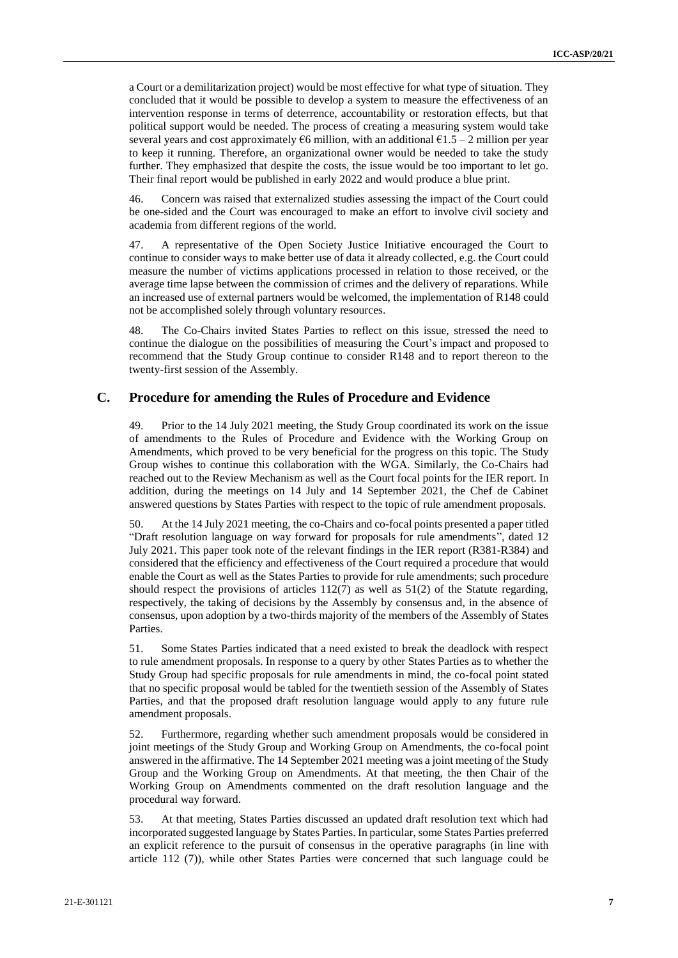a Court or a demilitarization project) would be most effective for what type of situation. They concluded that it would be possible to develop a system to measure the effectiveness of an intervention response in terms of deterrence, accountability or restoration effects, but that political support would be needed. The process of creating a measuring system would take several years and cost approximately  $66$  million, with an additional  $61.5 - 2$  million per year to keep it running. Therefore, an organizational owner would be needed to take the study further. They emphasized that despite the costs, the issue would be too important to let go. Their final report would be published in early 2022 and would produce a blue print.

46. Concern was raised that externalized studies assessing the impact of the Court could be one-sided and the Court was encouraged to make an effort to involve civil society and academia from different regions of the world.

47. A representative of the Open Society Justice Initiative encouraged the Court to continue to consider ways to make better use of data it already collected, e.g. the Court could measure the number of victims applications processed in relation to those received, or the average time lapse between the commission of crimes and the delivery of reparations. While an increased use of external partners would be welcomed, the implementation of R148 could not be accomplished solely through voluntary resources.

48. The Co-Chairs invited States Parties to reflect on this issue, stressed the need to continue the dialogue on the possibilities of measuring the Court's impact and proposed to recommend that the Study Group continue to consider R148 and to report thereon to the twenty-first session of the Assembly.

## **C. Procedure for amending the Rules of Procedure and Evidence**

49. Prior to the 14 July 2021 meeting, the Study Group coordinated its work on the issue of amendments to the Rules of Procedure and Evidence with the Working Group on Amendments, which proved to be very beneficial for the progress on this topic. The Study Group wishes to continue this collaboration with the WGA. Similarly, the Co-Chairs had reached out to the Review Mechanism as well as the Court focal points for the IER report. In addition, during the meetings on 14 July and 14 September 2021, the Chef de Cabinet answered questions by States Parties with respect to the topic of rule amendment proposals.

50. At the 14 July 2021 meeting, the co-Chairs and co-focal points presented a paper titled "Draft resolution language on way forward for proposals for rule amendments", dated 12 July 2021. This paper took note of the relevant findings in the IER report (R381-R384) and considered that the efficiency and effectiveness of the Court required a procedure that would enable the Court as well as the States Parties to provide for rule amendments; such procedure should respect the provisions of articles  $112(7)$  as well as  $51(2)$  of the Statute regarding, respectively, the taking of decisions by the Assembly by consensus and, in the absence of consensus, upon adoption by a two-thirds majority of the members of the Assembly of States Parties.

51. Some States Parties indicated that a need existed to break the deadlock with respect to rule amendment proposals. In response to a query by other States Parties as to whether the Study Group had specific proposals for rule amendments in mind, the co-focal point stated that no specific proposal would be tabled for the twentieth session of the Assembly of States Parties, and that the proposed draft resolution language would apply to any future rule amendment proposals.

52. Furthermore, regarding whether such amendment proposals would be considered in joint meetings of the Study Group and Working Group on Amendments, the co-focal point answered in the affirmative. The 14 September 2021 meeting was a joint meeting of the Study Group and the Working Group on Amendments. At that meeting, the then Chair of the Working Group on Amendments commented on the draft resolution language and the procedural way forward.

53. At that meeting, States Parties discussed an updated draft resolution text which had incorporated suggested language by States Parties. In particular, some States Parties preferred an explicit reference to the pursuit of consensus in the operative paragraphs (in line with article 112 (7)), while other States Parties were concerned that such language could be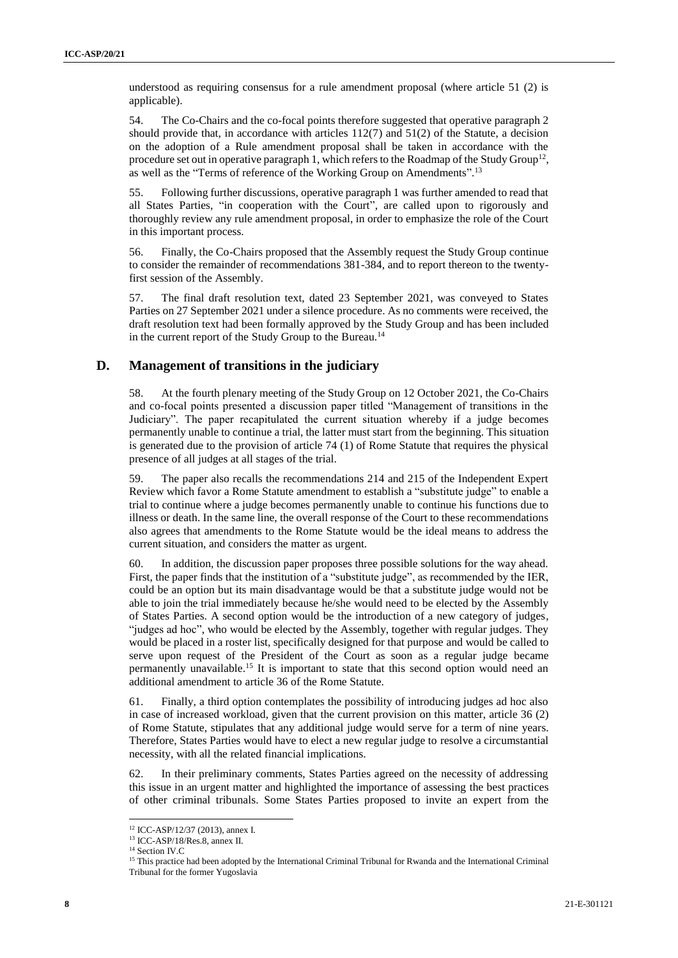understood as requiring consensus for a rule amendment proposal (where article 51 (2) is applicable).

54. The Co-Chairs and the co-focal points therefore suggested that operative paragraph 2 should provide that, in accordance with articles  $112(7)$  and  $51(2)$  of the Statute, a decision on the adoption of a Rule amendment proposal shall be taken in accordance with the procedure set out in operative paragraph 1, which refers to the Roadmap of the Study Group<sup>12</sup>, as well as the "Terms of reference of the Working Group on Amendments".<sup>13</sup>

55. Following further discussions, operative paragraph 1 was further amended to read that all States Parties, "in cooperation with the Court", are called upon to rigorously and thoroughly review any rule amendment proposal, in order to emphasize the role of the Court in this important process.

56. Finally, the Co-Chairs proposed that the Assembly request the Study Group continue to consider the remainder of recommendations 381-384, and to report thereon to the twentyfirst session of the Assembly.

57. The final draft resolution text, dated 23 September 2021, was conveyed to States Parties on 27 September 2021 under a silence procedure. As no comments were received, the draft resolution text had been formally approved by the Study Group and has been included in the current report of the Study Group to the Bureau.<sup>14</sup>

## **D. Management of transitions in the judiciary**

58. At the fourth plenary meeting of the Study Group on 12 October 2021, the Co-Chairs and co-focal points presented a discussion paper titled "Management of transitions in the Judiciary". The paper recapitulated the current situation whereby if a judge becomes permanently unable to continue a trial, the latter must start from the beginning. This situation is generated due to the provision of article 74 (1) of Rome Statute that requires the physical presence of all judges at all stages of the trial.

59. The paper also recalls the recommendations 214 and 215 of the Independent Expert Review which favor a Rome Statute amendment to establish a "substitute judge" to enable a trial to continue where a judge becomes permanently unable to continue his functions due to illness or death. In the same line, the overall response of the Court to these recommendations also agrees that amendments to the Rome Statute would be the ideal means to address the current situation, and considers the matter as urgent.

60. In addition, the discussion paper proposes three possible solutions for the way ahead. First, the paper finds that the institution of a "substitute judge", as recommended by the IER, could be an option but its main disadvantage would be that a substitute judge would not be able to join the trial immediately because he/she would need to be elected by the Assembly of States Parties. A second option would be the introduction of a new category of judges, "judges ad hoc", who would be elected by the Assembly, together with regular judges. They would be placed in a roster list, specifically designed for that purpose and would be called to serve upon request of the President of the Court as soon as a regular judge became permanently unavailable.<sup>15</sup> It is important to state that this second option would need an additional amendment to article 36 of the Rome Statute.

61. Finally, a third option contemplates the possibility of introducing judges ad hoc also in case of increased workload, given that the current provision on this matter, article 36 (2) of Rome Statute, stipulates that any additional judge would serve for a term of nine years. Therefore, States Parties would have to elect a new regular judge to resolve a circumstantial necessity, with all the related financial implications.

62. In their preliminary comments, States Parties agreed on the necessity of addressing this issue in an urgent matter and highlighted the importance of assessing the best practices of other criminal tribunals. Some States Parties proposed to invite an expert from the

<sup>12</sup> ICC-ASP/12/37 (2013), annex I.

<sup>13</sup> ICC-ASP/18/Res.8, annex II.

<sup>&</sup>lt;sup>14</sup> Section IV.C

<sup>&</sup>lt;sup>15</sup> This practice had been adopted by the International Criminal Tribunal for Rwanda and the International Criminal Tribunal for the former Yugoslavia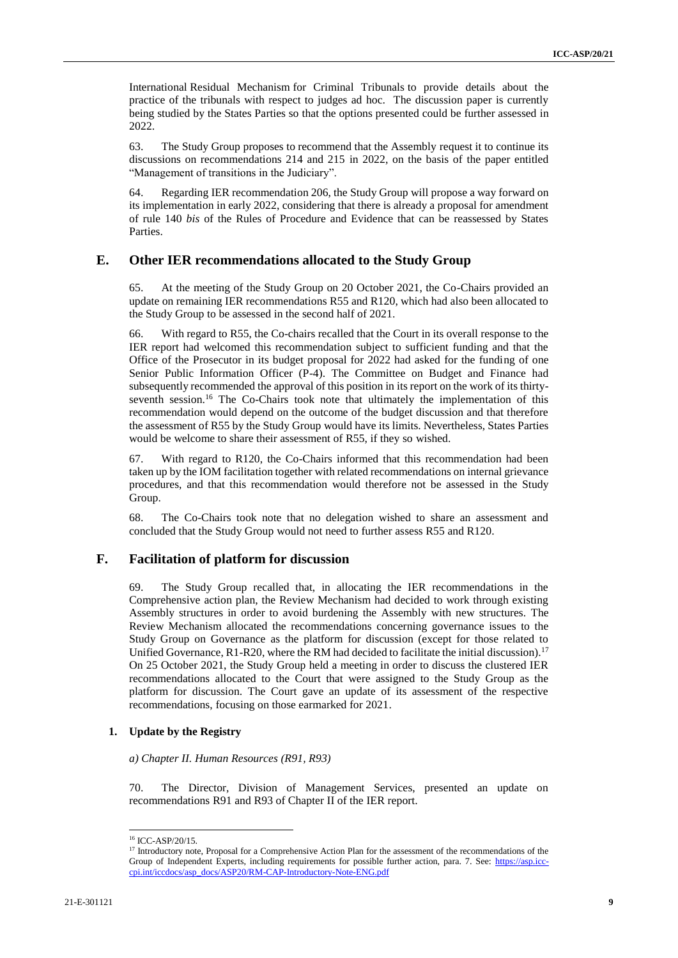International Residual Mechanism for Criminal Tribunals to provide details about the practice of the tribunals with respect to judges ad hoc. The discussion paper is currently being studied by the States Parties so that the options presented could be further assessed in 2022.

63. The Study Group proposes to recommend that the Assembly request it to continue its discussions on recommendations 214 and 215 in 2022, on the basis of the paper entitled "Management of transitions in the Judiciary".

64. Regarding IER recommendation 206, the Study Group will propose a way forward on its implementation in early 2022, considering that there is already a proposal for amendment of rule 140 *bis* of the Rules of Procedure and Evidence that can be reassessed by States Parties.

## **E. Other IER recommendations allocated to the Study Group**

65. At the meeting of the Study Group on 20 October 2021, the Co-Chairs provided an update on remaining IER recommendations R55 and R120, which had also been allocated to the Study Group to be assessed in the second half of 2021.

66. With regard to R55, the Co-chairs recalled that the Court in its overall response to the IER report had welcomed this recommendation subject to sufficient funding and that the Office of the Prosecutor in its budget proposal for 2022 had asked for the funding of one Senior Public Information Officer (P-4). The Committee on Budget and Finance had subsequently recommended the approval of this position in its report on the work of its thirtyseventh session.<sup>16</sup> The Co-Chairs took note that ultimately the implementation of this recommendation would depend on the outcome of the budget discussion and that therefore the assessment of R55 by the Study Group would have its limits. Nevertheless, States Parties would be welcome to share their assessment of R55, if they so wished.

67. With regard to R120, the Co-Chairs informed that this recommendation had been taken up by the IOM facilitation together with related recommendations on internal grievance procedures, and that this recommendation would therefore not be assessed in the Study Group.

68. The Co-Chairs took note that no delegation wished to share an assessment and concluded that the Study Group would not need to further assess R55 and R120.

## **F. Facilitation of platform for discussion**

69. The Study Group recalled that, in allocating the IER recommendations in the Comprehensive action plan, the Review Mechanism had decided to work through existing Assembly structures in order to avoid burdening the Assembly with new structures. The Review Mechanism allocated the recommendations concerning governance issues to the Study Group on Governance as the platform for discussion (except for those related to Unified Governance, R1-R20, where the RM had decided to facilitate the initial discussion).<sup>17</sup> On 25 October 2021, the Study Group held a meeting in order to discuss the clustered IER recommendations allocated to the Court that were assigned to the Study Group as the platform for discussion. The Court gave an update of its assessment of the respective recommendations, focusing on those earmarked for 2021.

#### **1. Update by the Registry**

*a) Chapter II. Human Resources (R91, R93)*

70. The Director, Division of Management Services, presented an update on recommendations R91 and R93 of Chapter II of the IER report.

<sup>&</sup>lt;sup>16</sup> ICC-ASP/20/15.

<sup>&</sup>lt;sup>17</sup> Introductory note, Proposal for a Comprehensive Action Plan for the assessment of the recommendations of the Group of Independent Experts, including requirements for possible further action, para. 7. See: [https://asp.icc](https://asp.icc-cpi.int/iccdocs/asp_docs/ASP20/RM-CAP-Introductory-Note-ENG.pdf)[cpi.int/iccdocs/asp\\_docs/ASP20/RM-CAP-Introductory-Note-ENG.pdf](https://asp.icc-cpi.int/iccdocs/asp_docs/ASP20/RM-CAP-Introductory-Note-ENG.pdf)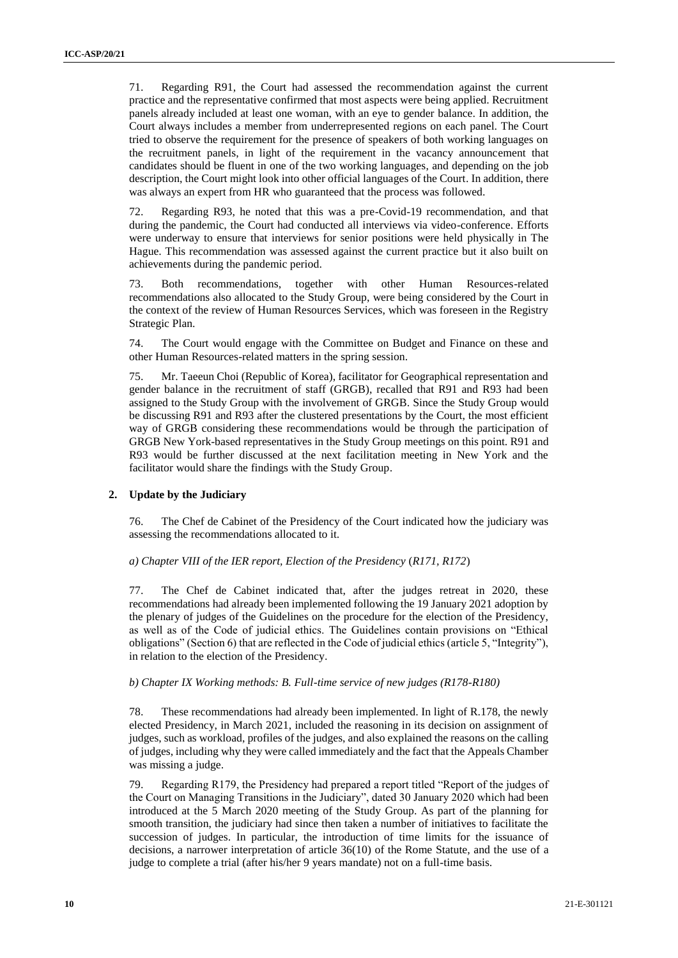71. Regarding R91, the Court had assessed the recommendation against the current practice and the representative confirmed that most aspects were being applied. Recruitment panels already included at least one woman, with an eye to gender balance. In addition, the Court always includes a member from underrepresented regions on each panel. The Court tried to observe the requirement for the presence of speakers of both working languages on the recruitment panels, in light of the requirement in the vacancy announcement that candidates should be fluent in one of the two working languages, and depending on the job description, the Court might look into other official languages of the Court. In addition, there was always an expert from HR who guaranteed that the process was followed.

72. Regarding R93, he noted that this was a pre-Covid-19 recommendation, and that during the pandemic, the Court had conducted all interviews via video-conference. Efforts were underway to ensure that interviews for senior positions were held physically in The Hague. This recommendation was assessed against the current practice but it also built on achievements during the pandemic period.

73. Both recommendations, together with other Human Resources-related recommendations also allocated to the Study Group, were being considered by the Court in the context of the review of Human Resources Services, which was foreseen in the Registry Strategic Plan.

74. The Court would engage with the Committee on Budget and Finance on these and other Human Resources-related matters in the spring session.

75. Mr. Taeeun Choi (Republic of Korea), facilitator for Geographical representation and gender balance in the recruitment of staff (GRGB), recalled that R91 and R93 had been assigned to the Study Group with the involvement of GRGB. Since the Study Group would be discussing R91 and R93 after the clustered presentations by the Court, the most efficient way of GRGB considering these recommendations would be through the participation of GRGB New York-based representatives in the Study Group meetings on this point. R91 and R93 would be further discussed at the next facilitation meeting in New York and the facilitator would share the findings with the Study Group.

#### **2. Update by the Judiciary**

76. The Chef de Cabinet of the Presidency of the Court indicated how the judiciary was assessing the recommendations allocated to it.

#### *a) Chapter VIII of the IER report, Election of the Presidency* (*R171, R172*)

77. The Chef de Cabinet indicated that, after the judges retreat in 2020, these recommendations had already been implemented following the 19 January 2021 adoption by the plenary of judges of the Guidelines on the procedure for the election of the Presidency, as well as of the Code of judicial ethics. The Guidelines contain provisions on "Ethical obligations" (Section 6) that are reflected in the Code of judicial ethics (article 5, "Integrity"), in relation to the election of the Presidency.

#### *b) Chapter IX Working methods: B. Full-time service of new judges (R178-R180)*

78. These recommendations had already been implemented. In light of R.178, the newly elected Presidency, in March 2021, included the reasoning in its decision on assignment of judges, such as workload, profiles of the judges, and also explained the reasons on the calling of judges, including why they were called immediately and the fact that the Appeals Chamber was missing a judge.

79. Regarding R179, the Presidency had prepared a report titled "Report of the judges of the Court on Managing Transitions in the Judiciary", dated 30 January 2020 which had been introduced at the 5 March 2020 meeting of the Study Group. As part of the planning for smooth transition, the judiciary had since then taken a number of initiatives to facilitate the succession of judges. In particular, the introduction of time limits for the issuance of decisions, a narrower interpretation of article 36(10) of the Rome Statute, and the use of a judge to complete a trial (after his/her 9 years mandate) not on a full-time basis.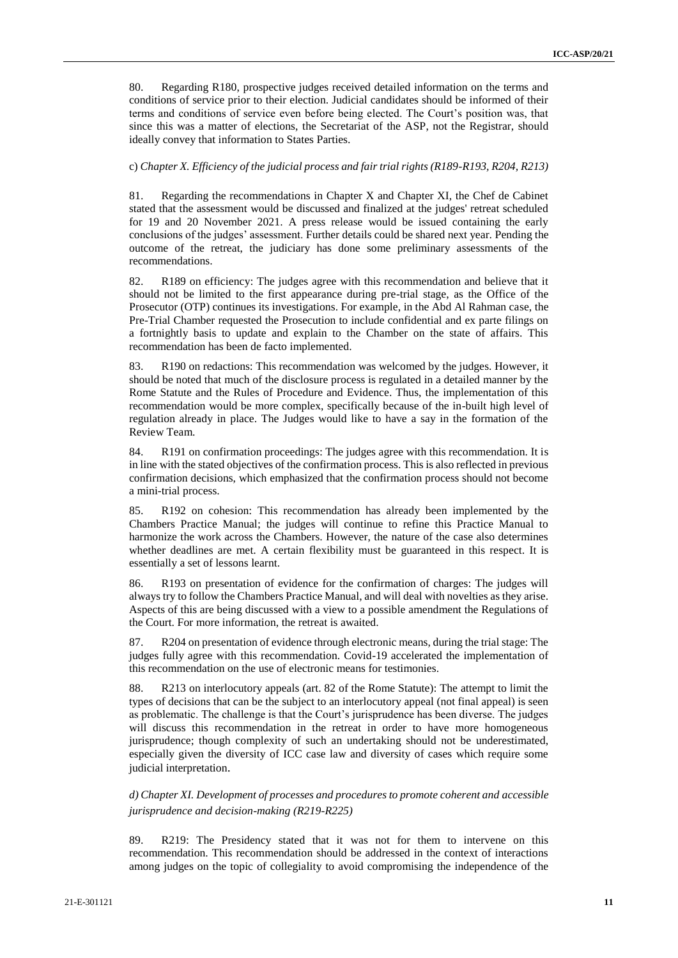80. Regarding R180, prospective judges received detailed information on the terms and conditions of service prior to their election. Judicial candidates should be informed of their terms and conditions of service even before being elected. The Court's position was, that since this was a matter of elections, the Secretariat of the ASP, not the Registrar, should ideally convey that information to States Parties.

#### c) *Chapter X. Efficiency of the judicial process and fair trial rights (R189-R193, R204, R213)*

81. Regarding the recommendations in Chapter X and Chapter XI, the Chef de Cabinet stated that the assessment would be discussed and finalized at the judges' retreat scheduled for 19 and 20 November 2021. A press release would be issued containing the early conclusions of the judges' assessment. Further details could be shared next year. Pending the outcome of the retreat, the judiciary has done some preliminary assessments of the recommendations.

82. R189 on efficiency: The judges agree with this recommendation and believe that it should not be limited to the first appearance during pre-trial stage, as the Office of the Prosecutor (OTP) continues its investigations. For example, in the Abd Al Rahman case, the Pre-Trial Chamber requested the Prosecution to include confidential and ex parte filings on a fortnightly basis to update and explain to the Chamber on the state of affairs. This recommendation has been de facto implemented.

83. R190 on redactions: This recommendation was welcomed by the judges. However, it should be noted that much of the disclosure process is regulated in a detailed manner by the Rome Statute and the Rules of Procedure and Evidence. Thus, the implementation of this recommendation would be more complex, specifically because of the in-built high level of regulation already in place. The Judges would like to have a say in the formation of the Review Team.

84. R191 on confirmation proceedings: The judges agree with this recommendation. It is in line with the stated objectives of the confirmation process. This is also reflected in previous confirmation decisions, which emphasized that the confirmation process should not become a mini-trial process.

85. R192 on cohesion: This recommendation has already been implemented by the Chambers Practice Manual; the judges will continue to refine this Practice Manual to harmonize the work across the Chambers. However, the nature of the case also determines whether deadlines are met. A certain flexibility must be guaranteed in this respect. It is essentially a set of lessons learnt.

86. R193 on presentation of evidence for the confirmation of charges: The judges will always try to follow the Chambers Practice Manual, and will deal with novelties as they arise. Aspects of this are being discussed with a view to a possible amendment the Regulations of the Court. For more information, the retreat is awaited.

87. R204 on presentation of evidence through electronic means, during the trial stage: The judges fully agree with this recommendation. Covid-19 accelerated the implementation of this recommendation on the use of electronic means for testimonies.

88. R213 on interlocutory appeals (art. 82 of the Rome Statute): The attempt to limit the types of decisions that can be the subject to an interlocutory appeal (not final appeal) is seen as problematic. The challenge is that the Court's jurisprudence has been diverse. The judges will discuss this recommendation in the retreat in order to have more homogeneous jurisprudence; though complexity of such an undertaking should not be underestimated, especially given the diversity of ICC case law and diversity of cases which require some judicial interpretation.

*d) Chapter XI. Development of processes and procedures to promote coherent and accessible jurisprudence and decision-making (R219-R225)*

89. R219: The Presidency stated that it was not for them to intervene on this recommendation. This recommendation should be addressed in the context of interactions among judges on the topic of collegiality to avoid compromising the independence of the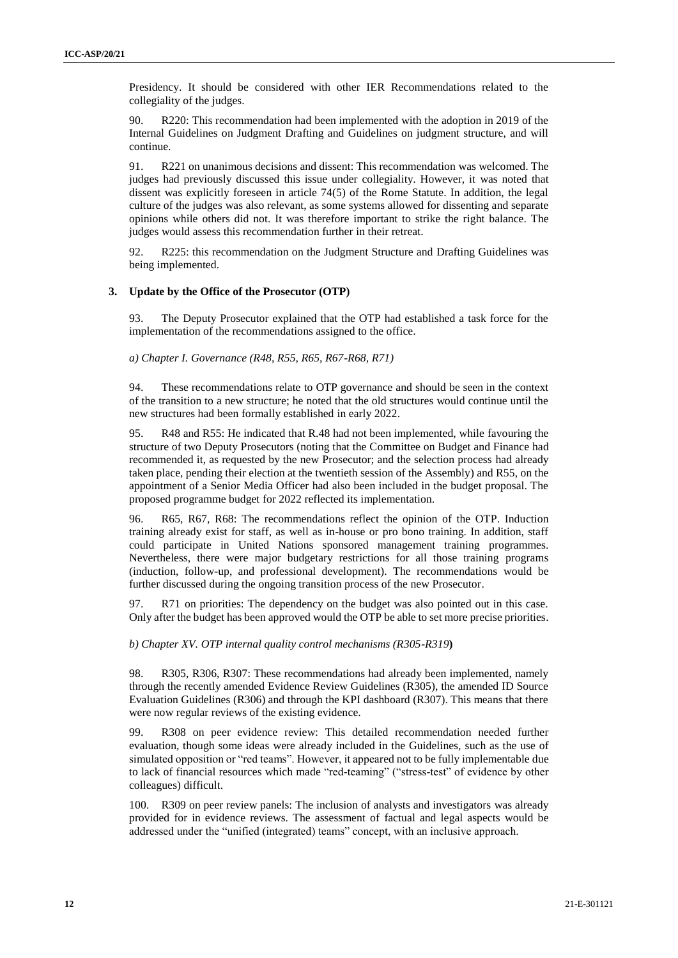Presidency. It should be considered with other IER Recommendations related to the collegiality of the judges.

90. R220: This recommendation had been implemented with the adoption in 2019 of the Internal Guidelines on Judgment Drafting and Guidelines on judgment structure, and will continue.

91. R221 on unanimous decisions and dissent: This recommendation was welcomed. The judges had previously discussed this issue under collegiality. However, it was noted that dissent was explicitly foreseen in article 74(5) of the Rome Statute. In addition, the legal culture of the judges was also relevant, as some systems allowed for dissenting and separate opinions while others did not. It was therefore important to strike the right balance. The judges would assess this recommendation further in their retreat.

92. R225: this recommendation on the Judgment Structure and Drafting Guidelines was being implemented.

#### **3. Update by the Office of the Prosecutor (OTP)**

93. The Deputy Prosecutor explained that the OTP had established a task force for the implementation of the recommendations assigned to the office.

*a) Chapter I. Governance (R48, R55, R65, R67-R68, R71)*

94. These recommendations relate to OTP governance and should be seen in the context of the transition to a new structure; he noted that the old structures would continue until the new structures had been formally established in early 2022.

95. R48 and R55: He indicated that R.48 had not been implemented, while favouring the structure of two Deputy Prosecutors (noting that the Committee on Budget and Finance had recommended it, as requested by the new Prosecutor; and the selection process had already taken place, pending their election at the twentieth session of the Assembly) and R55, on the appointment of a Senior Media Officer had also been included in the budget proposal. The proposed programme budget for 2022 reflected its implementation.

96. R65, R67, R68: The recommendations reflect the opinion of the OTP. Induction training already exist for staff, as well as in-house or pro bono training. In addition, staff could participate in United Nations sponsored management training programmes. Nevertheless, there were major budgetary restrictions for all those training programs (induction, follow-up, and professional development). The recommendations would be further discussed during the ongoing transition process of the new Prosecutor.

97. R71 on priorities: The dependency on the budget was also pointed out in this case. Only after the budget has been approved would the OTP be able to set more precise priorities.

*b) Chapter XV. OTP internal quality control mechanisms (R305-R319***)**

98. R305, R306, R307: These recommendations had already been implemented, namely through the recently amended Evidence Review Guidelines (R305), the amended ID Source Evaluation Guidelines (R306) and through the KPI dashboard (R307). This means that there were now regular reviews of the existing evidence.

99. R308 on peer evidence review: This detailed recommendation needed further evaluation, though some ideas were already included in the Guidelines, such as the use of simulated opposition or "red teams". However, it appeared not to be fully implementable due to lack of financial resources which made "red-teaming" ("stress-test" of evidence by other colleagues) difficult.

100. R309 on peer review panels: The inclusion of analysts and investigators was already provided for in evidence reviews. The assessment of factual and legal aspects would be addressed under the "unified (integrated) teams" concept, with an inclusive approach.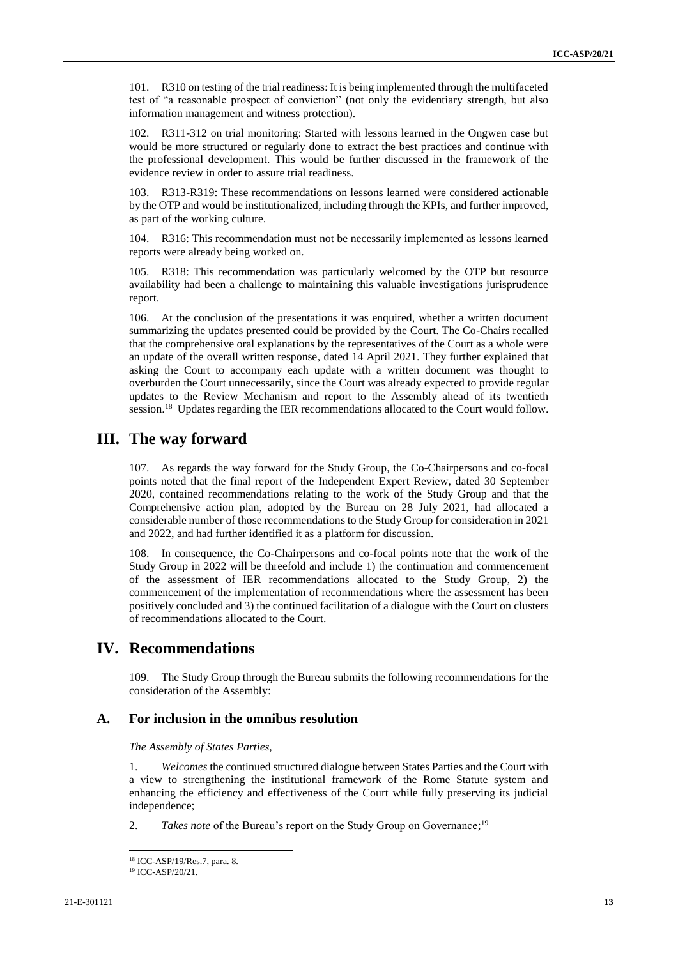101. R310 on testing of the trial readiness: It is being implemented through the multifaceted test of "a reasonable prospect of conviction" (not only the evidentiary strength, but also information management and witness protection).

102. R311-312 on trial monitoring: Started with lessons learned in the Ongwen case but would be more structured or regularly done to extract the best practices and continue with the professional development. This would be further discussed in the framework of the evidence review in order to assure trial readiness.

R313-R319: These recommendations on lessons learned were considered actionable by the OTP and would be institutionalized, including through the KPIs, and further improved, as part of the working culture.

104. R316: This recommendation must not be necessarily implemented as lessons learned reports were already being worked on.

105. R318: This recommendation was particularly welcomed by the OTP but resource availability had been a challenge to maintaining this valuable investigations jurisprudence report.

106. At the conclusion of the presentations it was enquired, whether a written document summarizing the updates presented could be provided by the Court. The Co-Chairs recalled that the comprehensive oral explanations by the representatives of the Court as a whole were an update of the overall written response, dated 14 April 2021. They further explained that asking the Court to accompany each update with a written document was thought to overburden the Court unnecessarily, since the Court was already expected to provide regular updates to the Review Mechanism and report to the Assembly ahead of its twentieth session.<sup>18</sup> Updates regarding the IER recommendations allocated to the Court would follow.

## **III. The way forward**

107. As regards the way forward for the Study Group, the Co-Chairpersons and co-focal points noted that the final report of the Independent Expert Review, dated 30 September 2020, contained recommendations relating to the work of the Study Group and that the Comprehensive action plan, adopted by the Bureau on 28 July 2021, had allocated a considerable number of those recommendations to the Study Group for consideration in 2021 and 2022, and had further identified it as a platform for discussion.

108. In consequence, the Co-Chairpersons and co-focal points note that the work of the Study Group in 2022 will be threefold and include 1) the continuation and commencement of the assessment of IER recommendations allocated to the Study Group, 2) the commencement of the implementation of recommendations where the assessment has been positively concluded and 3) the continued facilitation of a dialogue with the Court on clusters of recommendations allocated to the Court.

## **IV. Recommendations**

109. The Study Group through the Bureau submits the following recommendations for the consideration of the Assembly:

## **A. For inclusion in the omnibus resolution**

*The Assembly of States Parties,*

1. *Welcomes* the continued structured dialogue between States Parties and the Court with a view to strengthening the institutional framework of the Rome Statute system and enhancing the efficiency and effectiveness of the Court while fully preserving its judicial independence;

2. Takes note of the Bureau's report on the Study Group on Governance;<sup>19</sup>

<sup>18</sup> ICC-ASP/19/Res.7, para. 8.

<sup>19</sup> ICC-ASP/20/21.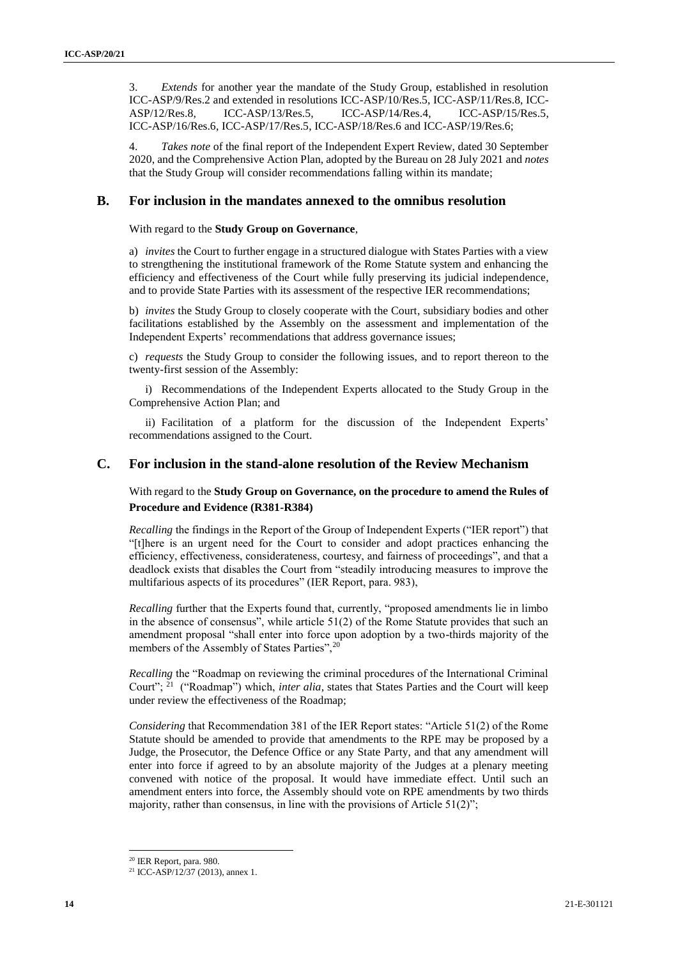3. *Extends* for another year the mandate of the Study Group, established in resolution ICC-ASP/9/Res.2 and extended in resolutions ICC-ASP/10/Res.5, ICC-ASP/11/Res.8, ICC-ASP/12/Res.8, ICC-ASP/13/Res.5, ICC-ASP/14/Res.4, ICC-ASP/15/Res.5, ICC-ASP/13/Res.5, ICC-ASP/14/Res.4, ICC-ASP/15/Res.5, ICC-ASP/16/Res.6, ICC-ASP/17/Res.5, ICC-ASP/18/Res.6 and ICC-ASP/19/Res.6;

4. *Takes note* of the final report of the Independent Expert Review, dated 30 September 2020, and the Comprehensive Action Plan, adopted by the Bureau on 28 July 2021 and *notes*  that the Study Group will consider recommendations falling within its mandate;

## **B. For inclusion in the mandates annexed to the omnibus resolution**

With regard to the **Study Group on Governance**,

a) *invites* the Court to further engage in a structured dialogue with States Parties with a view to strengthening the institutional framework of the Rome Statute system and enhancing the efficiency and effectiveness of the Court while fully preserving its judicial independence, and to provide State Parties with its assessment of the respective IER recommendations;

b) *invites* the Study Group to closely cooperate with the Court, subsidiary bodies and other facilitations established by the Assembly on the assessment and implementation of the Independent Experts' recommendations that address governance issues;

c) *requests* the Study Group to consider the following issues, and to report thereon to the twenty-first session of the Assembly:

i) Recommendations of the Independent Experts allocated to the Study Group in the Comprehensive Action Plan; and

ii) Facilitation of a platform for the discussion of the Independent Experts' recommendations assigned to the Court.

## **C. For inclusion in the stand-alone resolution of the Review Mechanism**

With regard to the **Study Group on Governance, on the procedure to amend the Rules of Procedure and Evidence (R381-R384)**

*Recalling* the findings in the Report of the Group of Independent Experts ("IER report") that "[t]here is an urgent need for the Court to consider and adopt practices enhancing the efficiency, effectiveness, considerateness, courtesy, and fairness of proceedings", and that a deadlock exists that disables the Court from "steadily introducing measures to improve the multifarious aspects of its procedures" (IER Report, para. 983),

*Recalling* further that the Experts found that, currently, "proposed amendments lie in limbo in the absence of consensus", while article 51(2) of the Rome Statute provides that such an amendment proposal "shall enter into force upon adoption by a two-thirds majority of the members of the Assembly of States Parties",<sup>20</sup>

*Recalling* the "Roadmap on reviewing the criminal procedures of the International Criminal Court"; <sup>21</sup> ("Roadmap") which, *inter alia*, states that States Parties and the Court will keep under review the effectiveness of the Roadmap;

*Considering* that Recommendation 381 of the IER Report states: "Article 51(2) of the Rome Statute should be amended to provide that amendments to the RPE may be proposed by a Judge, the Prosecutor, the Defence Office or any State Party, and that any amendment will enter into force if agreed to by an absolute majority of the Judges at a plenary meeting convened with notice of the proposal. It would have immediate effect. Until such an amendment enters into force, the Assembly should vote on RPE amendments by two thirds majority, rather than consensus, in line with the provisions of Article 51(2)";

<sup>20</sup> IER Report, para. 980.

<sup>21</sup> ICC-ASP/12/37 (2013), annex 1.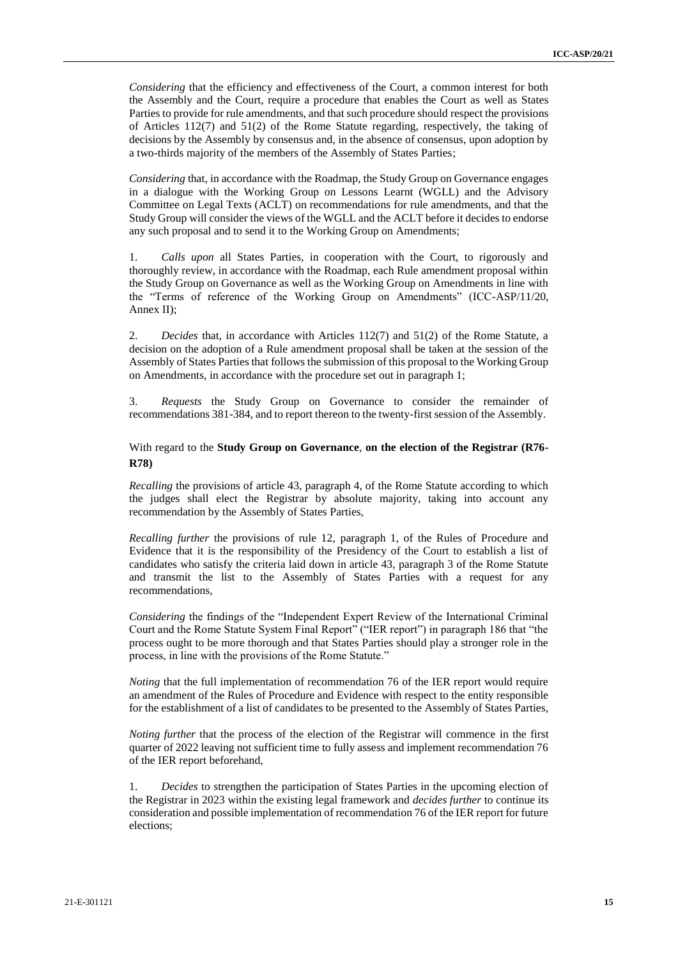*Considering* that the efficiency and effectiveness of the Court, a common interest for both the Assembly and the Court, require a procedure that enables the Court as well as States Parties to provide for rule amendments, and that such procedure should respect the provisions of Articles 112(7) and 51(2) of the Rome Statute regarding, respectively, the taking of decisions by the Assembly by consensus and, in the absence of consensus, upon adoption by a two-thirds majority of the members of the Assembly of States Parties;

*Considering* that, in accordance with the Roadmap, the Study Group on Governance engages in a dialogue with the Working Group on Lessons Learnt (WGLL) and the Advisory Committee on Legal Texts (ACLT) on recommendations for rule amendments, and that the Study Group will consider the views of the WGLL and the ACLT before it decides to endorse any such proposal and to send it to the Working Group on Amendments;

1. *Calls upon* all States Parties, in cooperation with the Court, to rigorously and thoroughly review, in accordance with the Roadmap, each Rule amendment proposal within the Study Group on Governance as well as the Working Group on Amendments in line with the "Terms of reference of the Working Group on Amendments" (ICC-ASP/11/20, Annex II);

2. *Decides* that, in accordance with Articles 112(7) and 51(2) of the Rome Statute, a decision on the adoption of a Rule amendment proposal shall be taken at the session of the Assembly of States Parties that follows the submission of this proposal to the Working Group on Amendments, in accordance with the procedure set out in paragraph 1;

3. *Requests* the Study Group on Governance to consider the remainder of recommendations 381-384, and to report thereon to the twenty-first session of the Assembly.

## With regard to the **Study Group on Governance**, **on the election of the Registrar (R76- R78)**

*Recalling* the provisions of article 43, paragraph 4, of the Rome Statute according to which the judges shall elect the Registrar by absolute majority, taking into account any recommendation by the Assembly of States Parties,

*Recalling further* the provisions of rule 12, paragraph 1, of the Rules of Procedure and Evidence that it is the responsibility of the Presidency of the Court to establish a list of candidates who satisfy the criteria laid down in article 43, paragraph 3 of the Rome Statute and transmit the list to the Assembly of States Parties with a request for any recommendations,

*Considering* the findings of the "Independent Expert Review of the International Criminal Court and the Rome Statute System Final Report" ("IER report") in paragraph 186 that "the process ought to be more thorough and that States Parties should play a stronger role in the process, in line with the provisions of the Rome Statute."

*Noting* that the full implementation of recommendation 76 of the IER report would require an amendment of the Rules of Procedure and Evidence with respect to the entity responsible for the establishment of a list of candidates to be presented to the Assembly of States Parties,

*Noting further* that the process of the election of the Registrar will commence in the first quarter of 2022 leaving not sufficient time to fully assess and implement recommendation 76 of the IER report beforehand,

1. *Decides* to strengthen the participation of States Parties in the upcoming election of the Registrar in 2023 within the existing legal framework and *decides further* to continue its consideration and possible implementation of recommendation 76 of the IER report for future elections;